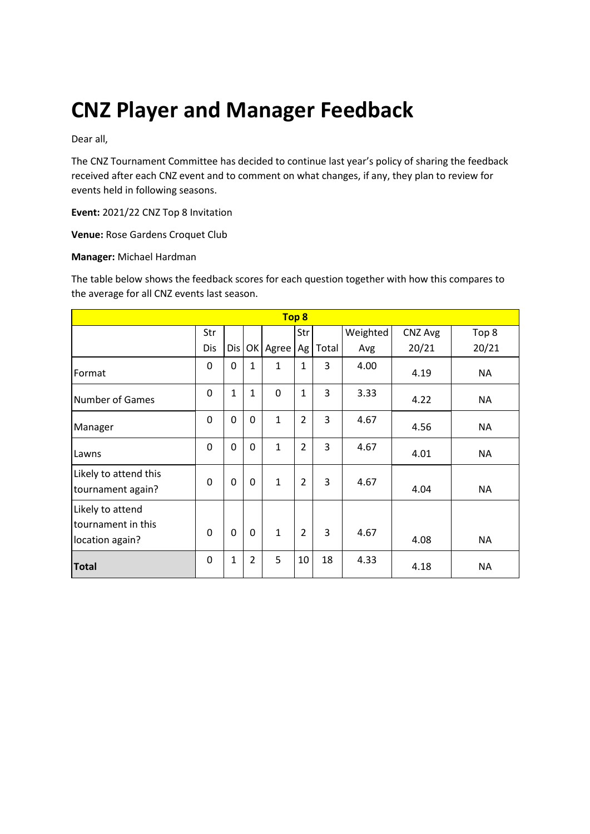# **CNZ Player and Manager Feedback**

Dear all,

The CNZ Tournament Committee has decided to continue last year's policy of sharing the feedback received after each CNZ event and to comment on what changes, if any, they plan to review for events held in following seasons.

**Event:** 2021/22 CNZ Top 8 Invitation

**Venue:** Rose Gardens Croquet Club

#### **Manager:** Michael Hardman

The table below shows the feedback scores for each question together with how this compares to the average for all CNZ events last season.

| Top 8                                                     |          |              |                |              |                |       |          |         |           |
|-----------------------------------------------------------|----------|--------------|----------------|--------------|----------------|-------|----------|---------|-----------|
|                                                           | Str      |              |                |              | Str            |       | Weighted | CNZ Avg | Top 8     |
|                                                           | Dis      | Dis          |                | OK Agree     | Ag             | Total | Avg      | 20/21   | 20/21     |
| Format                                                    | 0        | 0            | 1              | $\mathbf{1}$ | 1              | 3     | 4.00     | 4.19    | <b>NA</b> |
| <b>Number of Games</b>                                    | 0        | $\mathbf{1}$ | 1              | 0            | $\mathbf{1}$   | 3     | 3.33     | 4.22    | <b>NA</b> |
| Manager                                                   | 0        | 0            | $\mathbf 0$    | $\mathbf{1}$ | $\overline{2}$ | 3     | 4.67     | 4.56    | <b>NA</b> |
| Lawns                                                     | 0        | 0            | $\mathbf 0$    | $\mathbf{1}$ | $\overline{2}$ | 3     | 4.67     | 4.01    | <b>NA</b> |
| Likely to attend this<br>tournament again?                | $\Omega$ | 0            | $\mathbf 0$    | $\mathbf{1}$ | $\overline{2}$ | 3     | 4.67     | 4.04    | <b>NA</b> |
| Likely to attend<br>tournament in this<br>location again? | $\Omega$ | 0            | $\mathbf 0$    | $\mathbf{1}$ | $\overline{2}$ | 3     | 4.67     | 4.08    | <b>NA</b> |
| <b>Total</b>                                              | 0        | 1            | $\overline{2}$ | 5            | 10             | 18    | 4.33     | 4.18    | <b>NA</b> |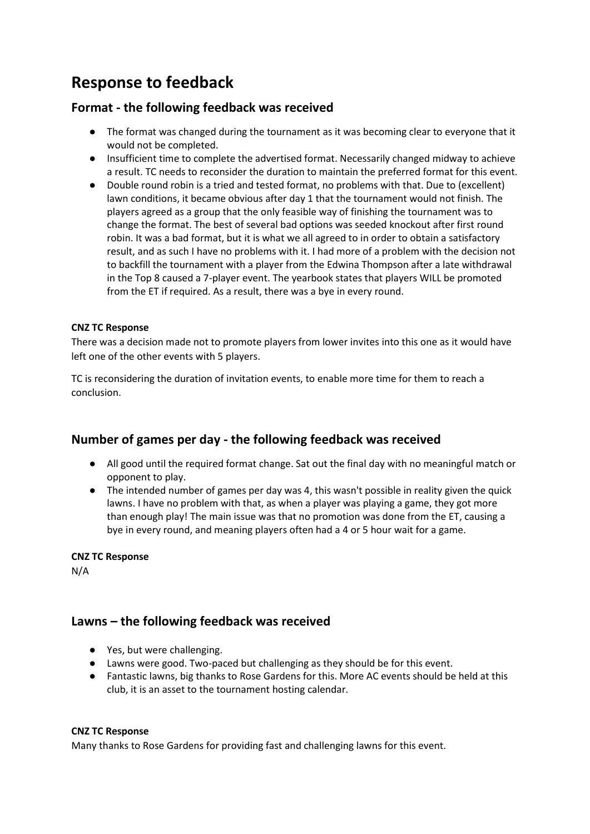# **Response to feedback**

# **Format - the following feedback was received**

- The format was changed during the tournament as it was becoming clear to everyone that it would not be completed.
- Insufficient time to complete the advertised format. Necessarily changed midway to achieve a result. TC needs to reconsider the duration to maintain the preferred format for this event.
- Double round robin is a tried and tested format, no problems with that. Due to (excellent) lawn conditions, it became obvious after day 1 that the tournament would not finish. The players agreed as a group that the only feasible way of finishing the tournament was to change the format. The best of several bad options was seeded knockout after first round robin. It was a bad format, but it is what we all agreed to in order to obtain a satisfactory result, and as such I have no problems with it. I had more of a problem with the decision not to backfill the tournament with a player from the Edwina Thompson after a late withdrawal in the Top 8 caused a 7-player event. The yearbook states that players WILL be promoted from the ET if required. As a result, there was a bye in every round.

### **CNZ TC Response**

There was a decision made not to promote players from lower invites into this one as it would have left one of the other events with 5 players.

TC is reconsidering the duration of invitation events, to enable more time for them to reach a conclusion.

## **Number of games per day - the following feedback was received**

- All good until the required format change. Sat out the final day with no meaningful match or opponent to play.
- The intended number of games per day was 4, this wasn't possible in reality given the quick lawns. I have no problem with that, as when a player was playing a game, they got more than enough play! The main issue was that no promotion was done from the ET, causing a bye in every round, and meaning players often had a 4 or 5 hour wait for a game.

### **CNZ TC Response**

N/A

# **Lawns – the following feedback was received**

- Yes, but were challenging.
- Lawns were good. Two-paced but challenging as they should be for this event.
- Fantastic lawns, big thanks to Rose Gardens for this. More AC events should be held at this club, it is an asset to the tournament hosting calendar.

#### **CNZ TC Response**

Many thanks to Rose Gardens for providing fast and challenging lawns for this event.